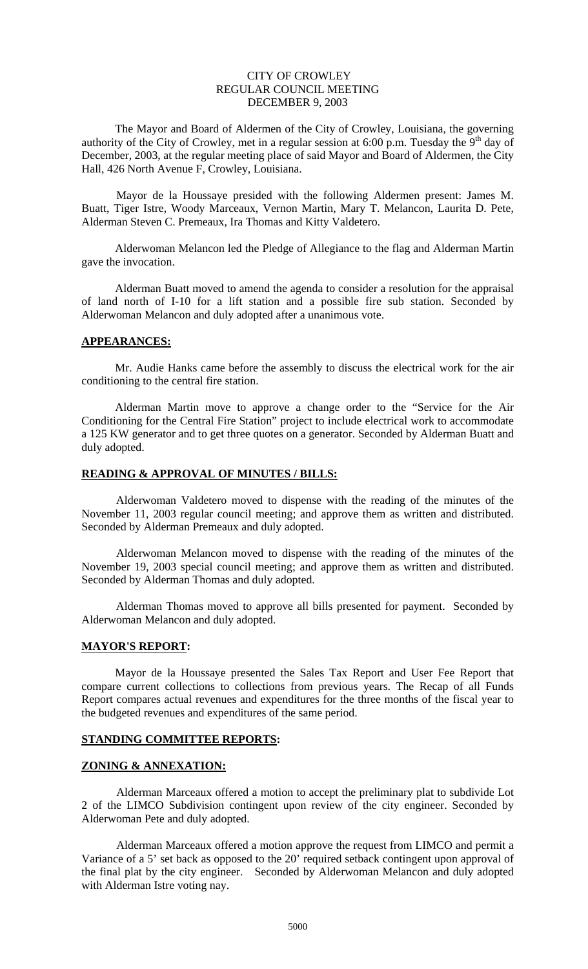# CITY OF CROWLEY REGULAR COUNCIL MEETING DECEMBER 9, 2003

The Mayor and Board of Aldermen of the City of Crowley, Louisiana, the governing authority of the City of Crowley, met in a regular session at 6:00 p.m. Tuesday the  $9<sup>th</sup>$  day of December, 2003, at the regular meeting place of said Mayor and Board of Aldermen, the City Hall, 426 North Avenue F, Crowley, Louisiana.

Mayor de la Houssaye presided with the following Aldermen present: James M. Buatt, Tiger Istre, Woody Marceaux, Vernon Martin, Mary T. Melancon, Laurita D. Pete, Alderman Steven C. Premeaux, Ira Thomas and Kitty Valdetero.

Alderwoman Melancon led the Pledge of Allegiance to the flag and Alderman Martin gave the invocation.

Alderman Buatt moved to amend the agenda to consider a resolution for the appraisal of land north of I-10 for a lift station and a possible fire sub station. Seconded by Alderwoman Melancon and duly adopted after a unanimous vote.

### **APPEARANCES:**

Mr. Audie Hanks came before the assembly to discuss the electrical work for the air conditioning to the central fire station.

Alderman Martin move to approve a change order to the "Service for the Air Conditioning for the Central Fire Station" project to include electrical work to accommodate a 125 KW generator and to get three quotes on a generator. Seconded by Alderman Buatt and duly adopted.

## **READING & APPROVAL OF MINUTES / BILLS:**

Alderwoman Valdetero moved to dispense with the reading of the minutes of the November 11, 2003 regular council meeting; and approve them as written and distributed. Seconded by Alderman Premeaux and duly adopted.

Alderwoman Melancon moved to dispense with the reading of the minutes of the November 19, 2003 special council meeting; and approve them as written and distributed. Seconded by Alderman Thomas and duly adopted.

Alderman Thomas moved to approve all bills presented for payment. Seconded by Alderwoman Melancon and duly adopted.

### **MAYOR'S REPORT:**

Mayor de la Houssaye presented the Sales Tax Report and User Fee Report that compare current collections to collections from previous years. The Recap of all Funds Report compares actual revenues and expenditures for the three months of the fiscal year to the budgeted revenues and expenditures of the same period.

### **STANDING COMMITTEE REPORTS:**

#### **ZONING & ANNEXATION:**

Alderman Marceaux offered a motion to accept the preliminary plat to subdivide Lot 2 of the LIMCO Subdivision contingent upon review of the city engineer. Seconded by Alderwoman Pete and duly adopted.

Alderman Marceaux offered a motion approve the request from LIMCO and permit a Variance of a 5' set back as opposed to the 20' required setback contingent upon approval of the final plat by the city engineer. Seconded by Alderwoman Melancon and duly adopted with Alderman Istre voting nay.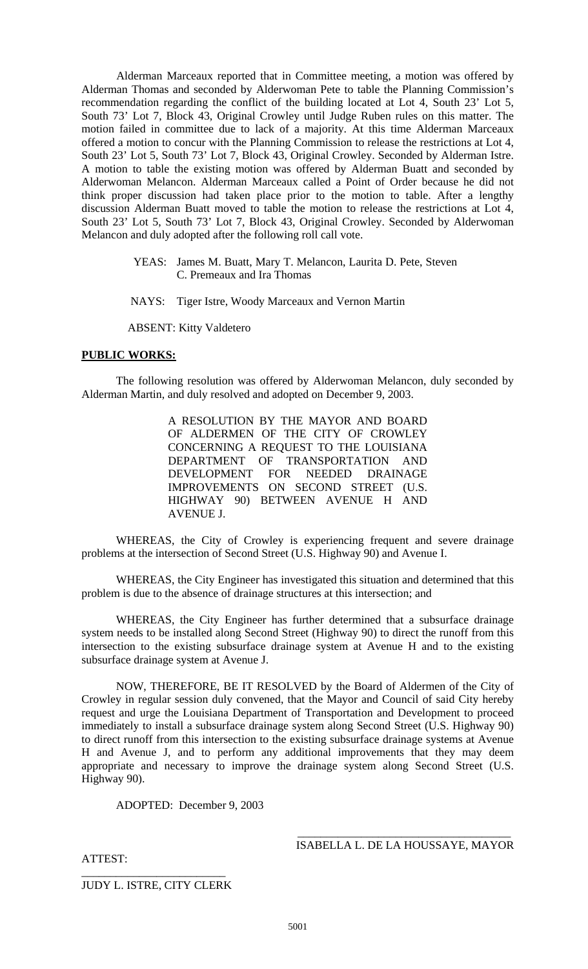Alderman Marceaux reported that in Committee meeting, a motion was offered by Alderman Thomas and seconded by Alderwoman Pete to table the Planning Commission's recommendation regarding the conflict of the building located at Lot 4, South 23' Lot 5, South 73' Lot 7, Block 43, Original Crowley until Judge Ruben rules on this matter. The motion failed in committee due to lack of a majority. At this time Alderman Marceaux offered a motion to concur with the Planning Commission to release the restrictions at Lot 4, South 23' Lot 5, South 73' Lot 7, Block 43, Original Crowley. Seconded by Alderman Istre. A motion to table the existing motion was offered by Alderman Buatt and seconded by Alderwoman Melancon. Alderman Marceaux called a Point of Order because he did not think proper discussion had taken place prior to the motion to table. After a lengthy discussion Alderman Buatt moved to table the motion to release the restrictions at Lot 4, South 23' Lot 5, South 73' Lot 7, Block 43, Original Crowley. Seconded by Alderwoman Melancon and duly adopted after the following roll call vote.

- YEAS: James M. Buatt, Mary T. Melancon, Laurita D. Pete, Steven C. Premeaux and Ira Thomas
- NAYS: Tiger Istre, Woody Marceaux and Vernon Martin

ABSENT: Kitty Valdetero

## **PUBLIC WORKS:**

The following resolution was offered by Alderwoman Melancon, duly seconded by Alderman Martin, and duly resolved and adopted on December 9, 2003.

> A RESOLUTION BY THE MAYOR AND BOARD OF ALDERMEN OF THE CITY OF CROWLEY CONCERNING A REQUEST TO THE LOUISIANA DEPARTMENT OF TRANSPORTATION AND DEVELOPMENT FOR NEEDED DRAINAGE IMPROVEMENTS ON SECOND STREET (U.S. HIGHWAY 90) BETWEEN AVENUE H AND AVENUE J.

WHEREAS, the City of Crowley is experiencing frequent and severe drainage problems at the intersection of Second Street (U.S. Highway 90) and Avenue I.

WHEREAS, the City Engineer has investigated this situation and determined that this problem is due to the absence of drainage structures at this intersection; and

WHEREAS, the City Engineer has further determined that a subsurface drainage system needs to be installed along Second Street (Highway 90) to direct the runoff from this intersection to the existing subsurface drainage system at Avenue H and to the existing subsurface drainage system at Avenue J.

NOW, THEREFORE, BE IT RESOLVED by the Board of Aldermen of the City of Crowley in regular session duly convened, that the Mayor and Council of said City hereby request and urge the Louisiana Department of Transportation and Development to proceed immediately to install a subsurface drainage system along Second Street (U.S. Highway 90) to direct runoff from this intersection to the existing subsurface drainage systems at Avenue H and Avenue J, and to perform any additional improvements that they may deem appropriate and necessary to improve the drainage system along Second Street (U.S. Highway 90).

ADOPTED: December 9, 2003

\_\_\_\_\_\_\_\_\_\_\_\_\_\_\_\_\_\_\_\_\_\_\_\_\_\_\_\_\_\_\_\_\_\_\_\_\_ ISABELLA L. DE LA HOUSSAYE, MAYOR

ATTEST:

\_\_\_\_\_\_\_\_\_\_\_\_\_\_\_\_\_\_\_\_\_\_\_\_\_ JUDY L. ISTRE, CITY CLERK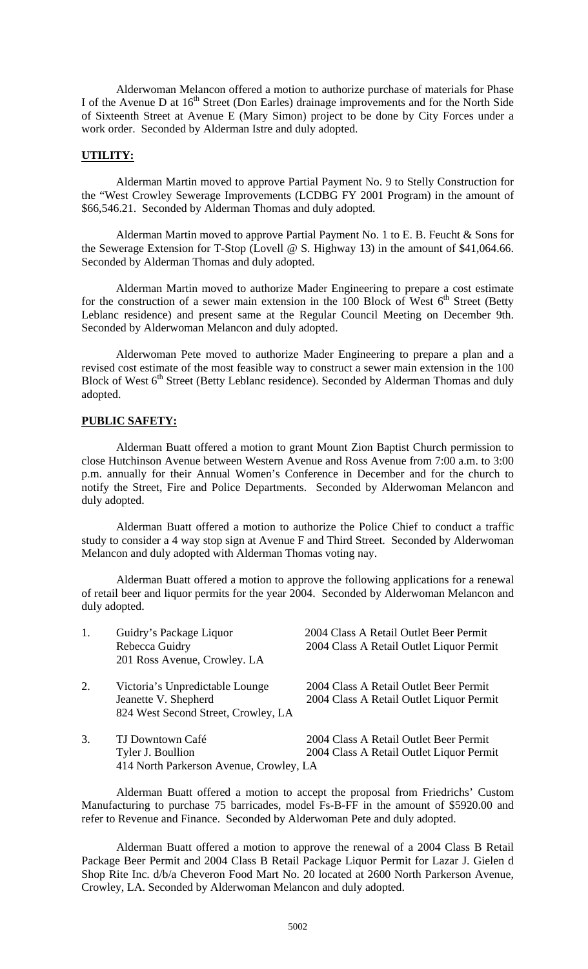Alderwoman Melancon offered a motion to authorize purchase of materials for Phase I of the Avenue D at 16<sup>th</sup> Street (Don Earles) drainage improvements and for the North Side of Sixteenth Street at Avenue E (Mary Simon) project to be done by City Forces under a work order. Seconded by Alderman Istre and duly adopted.

#### **UTILITY:**

Alderman Martin moved to approve Partial Payment No. 9 to Stelly Construction for the "West Crowley Sewerage Improvements (LCDBG FY 2001 Program) in the amount of \$66,546.21. Seconded by Alderman Thomas and duly adopted.

Alderman Martin moved to approve Partial Payment No. 1 to E. B. Feucht & Sons for the Sewerage Extension for T-Stop (Lovell @ S. Highway 13) in the amount of \$41,064.66. Seconded by Alderman Thomas and duly adopted.

Alderman Martin moved to authorize Mader Engineering to prepare a cost estimate for the construction of a sewer main extension in the 100 Block of West  $6<sup>th</sup>$  Street (Betty Leblanc residence) and present same at the Regular Council Meeting on December 9th. Seconded by Alderwoman Melancon and duly adopted.

Alderwoman Pete moved to authorize Mader Engineering to prepare a plan and a revised cost estimate of the most feasible way to construct a sewer main extension in the 100 Block of West  $6<sup>th</sup>$  Street (Betty Leblanc residence). Seconded by Alderman Thomas and duly adopted.

## **PUBLIC SAFETY:**

Alderman Buatt offered a motion to grant Mount Zion Baptist Church permission to close Hutchinson Avenue between Western Avenue and Ross Avenue from 7:00 a.m. to 3:00 p.m. annually for their Annual Women's Conference in December and for the church to notify the Street, Fire and Police Departments. Seconded by Alderwoman Melancon and duly adopted.

Alderman Buatt offered a motion to authorize the Police Chief to conduct a traffic study to consider a 4 way stop sign at Avenue F and Third Street. Seconded by Alderwoman Melancon and duly adopted with Alderman Thomas voting nay.

Alderman Buatt offered a motion to approve the following applications for a renewal of retail beer and liquor permits for the year 2004. Seconded by Alderwoman Melancon and duly adopted.

| 1. | Guidry's Package Liquor<br>Rebecca Guidry<br>201 Ross Avenue, Crowley. LA                      | 2004 Class A Retail Outlet Beer Permit<br>2004 Class A Retail Outlet Liquor Permit |
|----|------------------------------------------------------------------------------------------------|------------------------------------------------------------------------------------|
| 2. | Victoria's Unpredictable Lounge<br>Jeanette V. Shepherd<br>824 West Second Street, Crowley, LA | 2004 Class A Retail Outlet Beer Permit<br>2004 Class A Retail Outlet Liquor Permit |
| 3. | TJ Downtown Café<br>Tyler J. Boullion<br>414 North Parkerson Avenue, Crowley, LA               | 2004 Class A Retail Outlet Beer Permit<br>2004 Class A Retail Outlet Liquor Permit |

Alderman Buatt offered a motion to accept the proposal from Friedrichs' Custom Manufacturing to purchase 75 barricades, model Fs-B-FF in the amount of \$5920.00 and refer to Revenue and Finance. Seconded by Alderwoman Pete and duly adopted.

Alderman Buatt offered a motion to approve the renewal of a 2004 Class B Retail Package Beer Permit and 2004 Class B Retail Package Liquor Permit for Lazar J. Gielen d Shop Rite Inc. d/b/a Cheveron Food Mart No. 20 located at 2600 North Parkerson Avenue, Crowley, LA. Seconded by Alderwoman Melancon and duly adopted.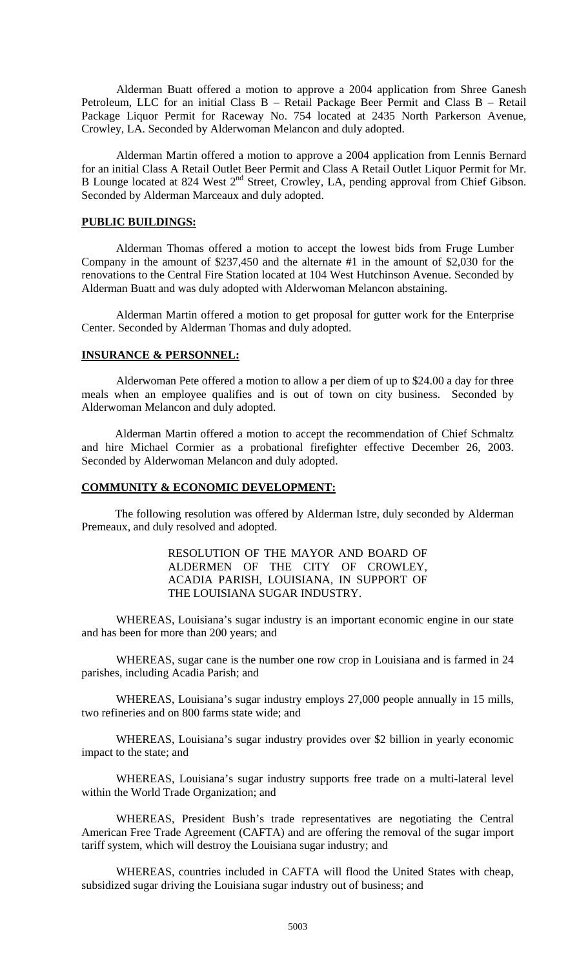Alderman Buatt offered a motion to approve a 2004 application from Shree Ganesh Petroleum, LLC for an initial Class B – Retail Package Beer Permit and Class B – Retail Package Liquor Permit for Raceway No. 754 located at 2435 North Parkerson Avenue, Crowley, LA. Seconded by Alderwoman Melancon and duly adopted.

Alderman Martin offered a motion to approve a 2004 application from Lennis Bernard for an initial Class A Retail Outlet Beer Permit and Class A Retail Outlet Liquor Permit for Mr. B Lounge located at 824 West 2<sup>nd</sup> Street, Crowley, LA, pending approval from Chief Gibson. Seconded by Alderman Marceaux and duly adopted.

#### **PUBLIC BUILDINGS:**

Alderman Thomas offered a motion to accept the lowest bids from Fruge Lumber Company in the amount of \$237,450 and the alternate #1 in the amount of \$2,030 for the renovations to the Central Fire Station located at 104 West Hutchinson Avenue. Seconded by Alderman Buatt and was duly adopted with Alderwoman Melancon abstaining.

Alderman Martin offered a motion to get proposal for gutter work for the Enterprise Center. Seconded by Alderman Thomas and duly adopted.

# **INSURANCE & PERSONNEL:**

Alderwoman Pete offered a motion to allow a per diem of up to \$24.00 a day for three meals when an employee qualifies and is out of town on city business. Seconded by Alderwoman Melancon and duly adopted.

Alderman Martin offered a motion to accept the recommendation of Chief Schmaltz and hire Michael Cormier as a probational firefighter effective December 26, 2003. Seconded by Alderwoman Melancon and duly adopted.

### **COMMUNITY & ECONOMIC DEVELOPMENT:**

The following resolution was offered by Alderman Istre, duly seconded by Alderman Premeaux, and duly resolved and adopted.

## RESOLUTION OF THE MAYOR AND BOARD OF ALDERMEN OF THE CITY OF CROWLEY, ACADIA PARISH, LOUISIANA, IN SUPPORT OF THE LOUISIANA SUGAR INDUSTRY.

WHEREAS, Louisiana's sugar industry is an important economic engine in our state and has been for more than 200 years; and

WHEREAS, sugar cane is the number one row crop in Louisiana and is farmed in 24 parishes, including Acadia Parish; and

WHEREAS, Louisiana's sugar industry employs 27,000 people annually in 15 mills, two refineries and on 800 farms state wide; and

WHEREAS, Louisiana's sugar industry provides over \$2 billion in yearly economic impact to the state; and

WHEREAS, Louisiana's sugar industry supports free trade on a multi-lateral level within the World Trade Organization; and

WHEREAS, President Bush's trade representatives are negotiating the Central American Free Trade Agreement (CAFTA) and are offering the removal of the sugar import tariff system, which will destroy the Louisiana sugar industry; and

WHEREAS, countries included in CAFTA will flood the United States with cheap, subsidized sugar driving the Louisiana sugar industry out of business; and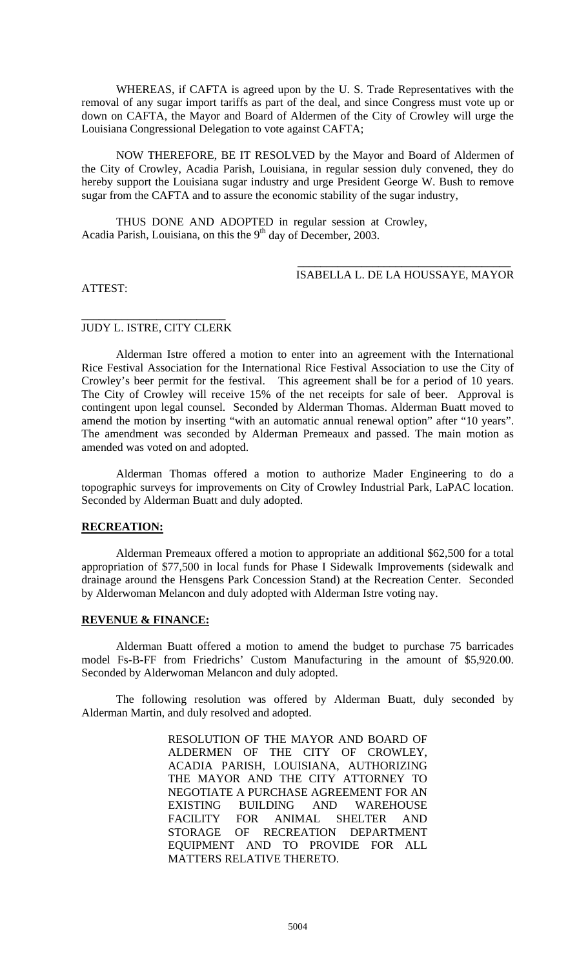WHEREAS, if CAFTA is agreed upon by the U. S. Trade Representatives with the removal of any sugar import tariffs as part of the deal, and since Congress must vote up or down on CAFTA, the Mayor and Board of Aldermen of the City of Crowley will urge the Louisiana Congressional Delegation to vote against CAFTA;

NOW THEREFORE, BE IT RESOLVED by the Mayor and Board of Aldermen of the City of Crowley, Acadia Parish, Louisiana, in regular session duly convened, they do hereby support the Louisiana sugar industry and urge President George W. Bush to remove sugar from the CAFTA and to assure the economic stability of the sugar industry,

THUS DONE AND ADOPTED in regular session at Crowley, Acadia Parish, Louisiana, on this the  $9<sup>th</sup>$  day of December, 2003.

## \_\_\_\_\_\_\_\_\_\_\_\_\_\_\_\_\_\_\_\_\_\_\_\_\_\_\_\_\_\_\_\_\_\_\_\_\_ ISABELLA L. DE LA HOUSSAYE, MAYOR

ATTEST:

### \_\_\_\_\_\_\_\_\_\_\_\_\_\_\_\_\_\_\_\_\_\_\_\_\_ JUDY L. ISTRE, CITY CLERK

Alderman Istre offered a motion to enter into an agreement with the International Rice Festival Association for the International Rice Festival Association to use the City of Crowley's beer permit for the festival. This agreement shall be for a period of 10 years. The City of Crowley will receive 15% of the net receipts for sale of beer. Approval is contingent upon legal counsel. Seconded by Alderman Thomas. Alderman Buatt moved to amend the motion by inserting "with an automatic annual renewal option" after "10 years". The amendment was seconded by Alderman Premeaux and passed. The main motion as amended was voted on and adopted.

Alderman Thomas offered a motion to authorize Mader Engineering to do a topographic surveys for improvements on City of Crowley Industrial Park, LaPAC location. Seconded by Alderman Buatt and duly adopted.

# **RECREATION:**

Alderman Premeaux offered a motion to appropriate an additional \$62,500 for a total appropriation of \$77,500 in local funds for Phase I Sidewalk Improvements (sidewalk and drainage around the Hensgens Park Concession Stand) at the Recreation Center. Seconded by Alderwoman Melancon and duly adopted with Alderman Istre voting nay.

#### **REVENUE & FINANCE:**

Alderman Buatt offered a motion to amend the budget to purchase 75 barricades model Fs-B-FF from Friedrichs' Custom Manufacturing in the amount of \$5,920.00. Seconded by Alderwoman Melancon and duly adopted.

The following resolution was offered by Alderman Buatt, duly seconded by Alderman Martin, and duly resolved and adopted.

> RESOLUTION OF THE MAYOR AND BOARD OF ALDERMEN OF THE CITY OF CROWLEY, ACADIA PARISH, LOUISIANA, AUTHORIZING THE MAYOR AND THE CITY ATTORNEY TO NEGOTIATE A PURCHASE AGREEMENT FOR AN EXISTING BUILDING AND WAREHOUSE FACILITY FOR ANIMAL SHELTER AND STORAGE OF RECREATION DEPARTMENT EQUIPMENT AND TO PROVIDE FOR ALL MATTERS RELATIVE THERETO.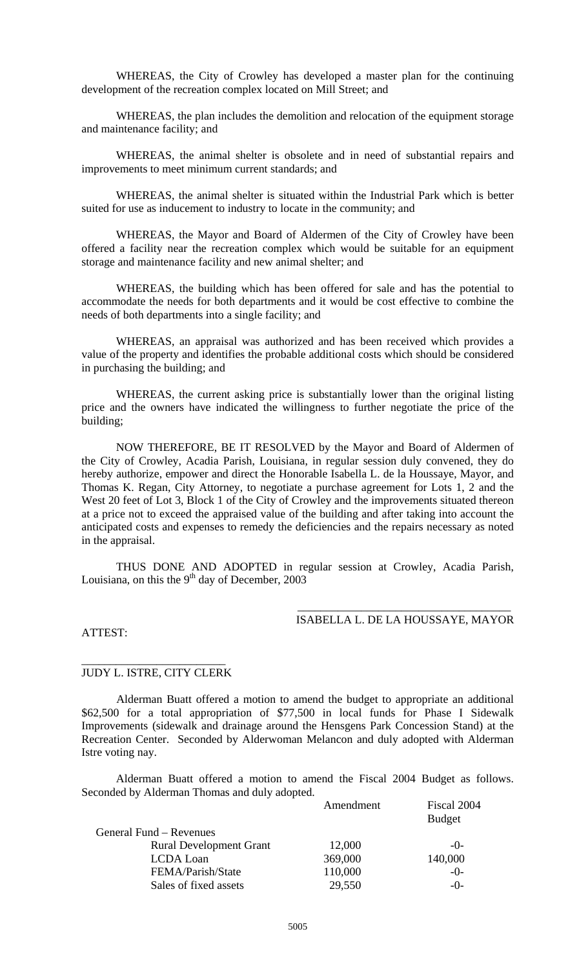WHEREAS, the City of Crowley has developed a master plan for the continuing development of the recreation complex located on Mill Street; and

WHEREAS, the plan includes the demolition and relocation of the equipment storage and maintenance facility; and

WHEREAS, the animal shelter is obsolete and in need of substantial repairs and improvements to meet minimum current standards; and

WHEREAS, the animal shelter is situated within the Industrial Park which is better suited for use as inducement to industry to locate in the community; and

WHEREAS, the Mayor and Board of Aldermen of the City of Crowley have been offered a facility near the recreation complex which would be suitable for an equipment storage and maintenance facility and new animal shelter; and

WHEREAS, the building which has been offered for sale and has the potential to accommodate the needs for both departments and it would be cost effective to combine the needs of both departments into a single facility; and

WHEREAS, an appraisal was authorized and has been received which provides a value of the property and identifies the probable additional costs which should be considered in purchasing the building; and

WHEREAS, the current asking price is substantially lower than the original listing price and the owners have indicated the willingness to further negotiate the price of the building;

NOW THEREFORE, BE IT RESOLVED by the Mayor and Board of Aldermen of the City of Crowley, Acadia Parish, Louisiana, in regular session duly convened, they do hereby authorize, empower and direct the Honorable Isabella L. de la Houssaye, Mayor, and Thomas K. Regan, City Attorney, to negotiate a purchase agreement for Lots 1, 2 and the West 20 feet of Lot 3, Block 1 of the City of Crowley and the improvements situated thereon at a price not to exceed the appraised value of the building and after taking into account the anticipated costs and expenses to remedy the deficiencies and the repairs necessary as noted in the appraisal.

THUS DONE AND ADOPTED in regular session at Crowley, Acadia Parish, Louisiana, on this the  $9<sup>th</sup>$  day of December, 2003

## \_\_\_\_\_\_\_\_\_\_\_\_\_\_\_\_\_\_\_\_\_\_\_\_\_\_\_\_\_\_\_\_\_\_\_\_\_ ISABELLA L. DE LA HOUSSAYE, MAYOR

#### ATTEST:

### \_\_\_\_\_\_\_\_\_\_\_\_\_\_\_\_\_\_\_\_\_\_\_\_\_ JUDY L. ISTRE, CITY CLERK

Alderman Buatt offered a motion to amend the budget to appropriate an additional \$62,500 for a total appropriation of \$77,500 in local funds for Phase I Sidewalk Improvements (sidewalk and drainage around the Hensgens Park Concession Stand) at the Recreation Center. Seconded by Alderwoman Melancon and duly adopted with Alderman Istre voting nay.

Alderman Buatt offered a motion to amend the Fiscal 2004 Budget as follows. Seconded by Alderman Thomas and duly adopted.

|                                | Amendment | Fiscal 2004   |
|--------------------------------|-----------|---------------|
|                                |           | <b>Budget</b> |
| General Fund – Revenues        |           |               |
| <b>Rural Development Grant</b> | 12,000    | $-()$ -       |
| <b>LCDA</b> Loan               | 369,000   | 140,000       |
| FEMA/Parish/State              | 110,000   | $-0-$         |
| Sales of fixed assets          | 29,550    | $-()$ -       |